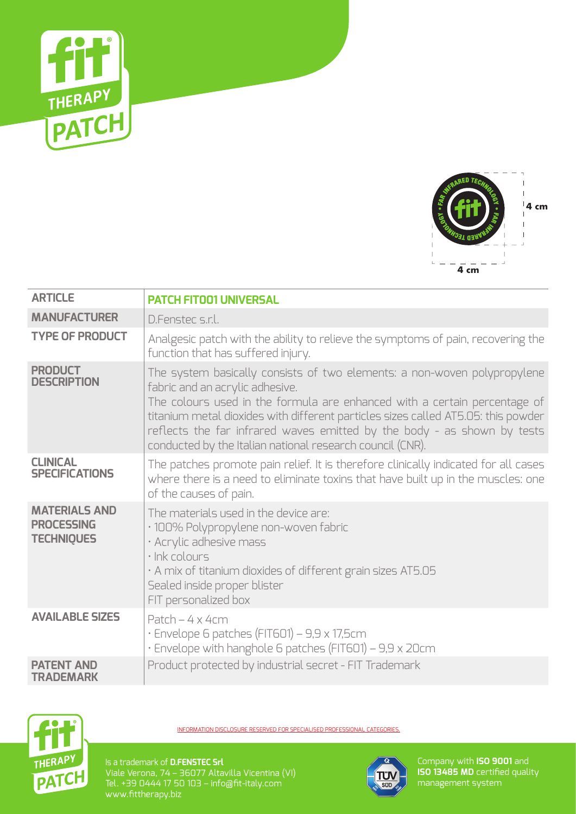



| <b>ARTICLE</b>                                                 | <b>PATCH FITOO1 UNIVERSAL</b>                                                                                                                                                                                                                                                                                                                                                                                         |
|----------------------------------------------------------------|-----------------------------------------------------------------------------------------------------------------------------------------------------------------------------------------------------------------------------------------------------------------------------------------------------------------------------------------------------------------------------------------------------------------------|
| <b>MANUFACTURER</b>                                            | D.Fenster s.r.l.                                                                                                                                                                                                                                                                                                                                                                                                      |
| <b>TYPE OF PRODUCT</b>                                         | Analgesic patch with the ability to relieve the symptoms of pain, recovering the<br>function that has suffered injury.                                                                                                                                                                                                                                                                                                |
| <b>PRODUCT</b><br><b>DESCRIPTION</b>                           | The system basically consists of two elements: a non-woven polypropylene<br>fabric and an acrylic adhesive.<br>The colours used in the formula are enhanced with a certain percentage of<br>titanium metal dioxides with different particles sizes called AT5.05: this powder<br>reflects the far infrared waves emitted by the body - as shown by tests<br>conducted by the Italian national research council (CNR). |
| <b>CLINICAL</b><br><b>SPECIFICATIONS</b>                       | The patches promote pain relief. It is therefore clinically indicated for all cases<br>where there is a need to eliminate toxins that have built up in the muscles: one<br>of the causes of pain.                                                                                                                                                                                                                     |
| <b>MATERIALS AND</b><br><b>PROCESSING</b><br><b>TECHNIQUES</b> | The materials used in the device are:<br>· 100% Polypropylene non-woven fabric<br>· Acrylic adhesive mass<br>· Ink colours<br>. A mix of titanium dioxides of different grain sizes AT5.05<br>Sealed inside proper blister<br>FIT personalized box                                                                                                                                                                    |
| <b>AVAILABLE SIZES</b>                                         | Patch $-4 \times 4$ cm<br>· Envelope 6 patches (FIT601) - 9,9 x 17,5cm<br>· Envelope with hanghole 6 patches (FIT601) - 9,9 x 20cm                                                                                                                                                                                                                                                                                    |
| <b>PATENT AND</b><br><b>TRADEMARK</b>                          | Product protected by industrial secret - FIT Trademark                                                                                                                                                                                                                                                                                                                                                                |



INFORMATION DISCLOSURE RESERVED FOR SPECIALISED PROFESSIONAL CATEGORIES.

Is a trademark of **D.FENSTEC Srl** Viale Verona, 74 – 36077 Altavilla Vicentina (VI) Tel. +39 0444 17 50 103 – info@fit-italy.com www.fittherapy.biz



Company with **ISO 9001** and **ISO 13485 MD** certified quality management system